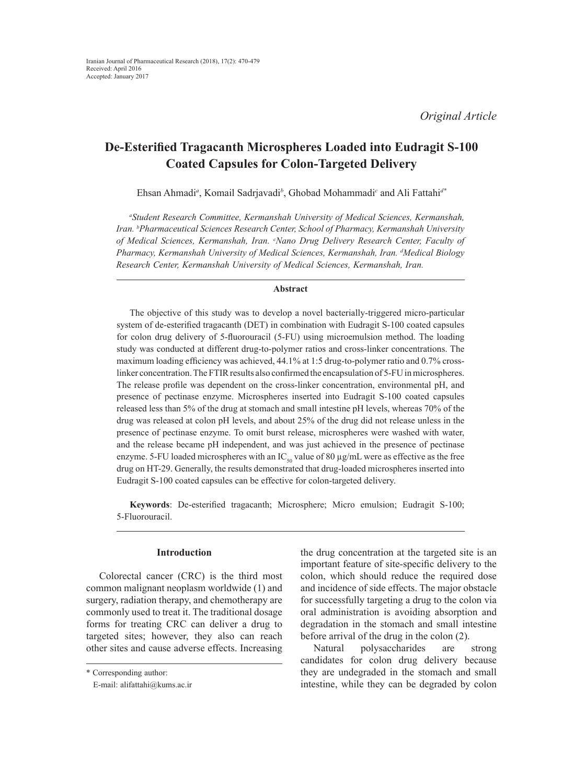# **De-Esterified Tragacanth Microspheres Loaded into Eudragit S-100 Coated Capsules for Colon-Targeted Delivery**

Ehsan Ahmadi*<sup>a</sup>* , Komail Sadrjavadi*<sup>b</sup>* , Ghobad Mohammadi*<sup>c</sup>* and Ali Fattahi*d\**

*a Student Research Committee, Kermanshah University of Medical Sciences, Kermanshah, Iran. b Pharmaceutical Sciences Research Center, School of Pharmacy, Kermanshah University of Medical Sciences, Kermanshah, Iran. c Nano Drug Delivery Research Center, Faculty of Pharmacy, Kermanshah University of Medical Sciences, Kermanshah, Iran. d Medical Biology Research Center, Kermanshah University of Medical Sciences, Kermanshah, Iran.*

# **Abstract**

The objective of this study was to develop a novel bacterially-triggered micro-particular system of de-esterified tragacanth (DET) in combination with Eudragit S-100 coated capsules for colon drug delivery of 5-fluorouracil (5-FU) using microemulsion method. The loading study was conducted at different drug-to-polymer ratios and cross-linker concentrations. The maximum loading efficiency was achieved, 44.1% at 1:5 drug-to-polymer ratio and 0.7% crosslinker concentration. The FTIR results also confirmed the encapsulation of 5-FU in microspheres. The release profile was dependent on the cross-linker concentration, environmental pH, and presence of pectinase enzyme. Microspheres inserted into Eudragit S-100 coated capsules released less than 5% of the drug at stomach and small intestine pH levels, whereas 70% of the drug was released at colon pH levels, and about 25% of the drug did not release unless in the presence of pectinase enzyme. To omit burst release, microspheres were washed with water, and the release became pH independent, and was just achieved in the presence of pectinase enzyme. 5-FU loaded microspheres with an  $IC_{50}$  value of 80  $\mu$ g/mL were as effective as the free drug on HT-29. Generally, the results demonstrated that drug-loaded microspheres inserted into Eudragit S-100 coated capsules can be effective for colon-targeted delivery.

**Keywords**: De-esterified tragacanth; Microsphere; Micro emulsion; Eudragit S-100; 5-Fluorouracil.

# **Introduction**

Colorectal cancer (CRC) is the third most common malignant neoplasm worldwide (1) and surgery, radiation therapy, and chemotherapy are commonly used to treat it. The traditional dosage forms for treating CRC can deliver a drug to targeted sites; however, they also can reach other sites and cause adverse effects. Increasing the drug concentration at the targeted site is an important feature of site-specific delivery to the colon, which should reduce the required dose and incidence of side effects. The major obstacle for successfully targeting a drug to the colon via oral administration is avoiding absorption and degradation in the stomach and small intestine before arrival of the drug in the colon (2).

Natural polysaccharides are strong candidates for colon drug delivery because they are undegraded in the stomach and small intestine, while they can be degraded by colon

<sup>\*</sup> Corresponding author:

E-mail: alifattahi@kums.ac.ir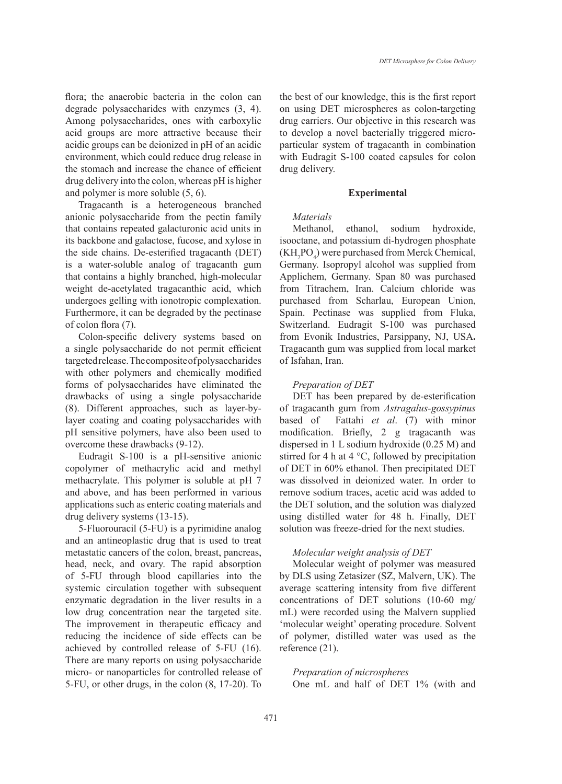flora; the anaerobic bacteria in the colon can degrade polysaccharides with enzymes (3, 4). Among polysaccharides, ones with carboxylic acid groups are more attractive because their acidic groups can be deionized in pH of an acidic environment, which could reduce drug release in the stomach and increase the chance of efficient drug delivery into the colon, whereas pH is higher and polymer is more soluble (5, 6).

Tragacanth is a heterogeneous branched anionic polysaccharide from the pectin family that contains repeated galacturonic acid units in its backbone and galactose, fucose, and xylose in the side chains. De-esterified tragacanth (DET) is a water-soluble analog of tragacanth gum that contains a highly branched, high-molecular weight de-acetylated tragacanthic acid, which undergoes gelling with ionotropic complexation. Furthermore, it can be degraded by the pectinase of colon flora (7).

Colon-specific delivery systems based on a single polysaccharide do not permit efficient targeted release. The composite of polysaccharides with other polymers and chemically modified forms of polysaccharides have eliminated the drawbacks of using a single polysaccharide (8). Different approaches, such as layer-bylayer coating and coating polysaccharides with pH sensitive polymers, have also been used to overcome these drawbacks (9-12).

Eudragit S-100 is a pH-sensitive anionic copolymer of methacrylic acid and methyl methacrylate. This polymer is soluble at pH 7 and above, and has been performed in various applications such as enteric coating materials and drug delivery systems (13-15).

5-Fluorouracil (5-FU) is a pyrimidine analog and an antineoplastic drug that is used to treat metastatic cancers of the colon, breast, pancreas, head, neck, and ovary. The rapid absorption of 5-FU through blood capillaries into the systemic circulation together with subsequent enzymatic degradation in the liver results in a low drug concentration near the targeted site. The improvement in therapeutic efficacy and reducing the incidence of side effects can be achieved by controlled release of 5-FU (16). There are many reports on using polysaccharide micro- or nanoparticles for controlled release of 5-FU, or other drugs, in the colon (8, 17-20). To

the best of our knowledge, this is the first report on using DET microspheres as colon-targeting drug carriers. Our objective in this research was to develop a novel bacterially triggered microparticular system of tragacanth in combination with Eudragit S-100 coated capsules for colon drug delivery.

#### **Experimental**

#### *Materials*

Methanol, ethanol, sodium hydroxide, isooctane, and potassium di-hydrogen phosphate  $(KH<sub>2</sub>PO<sub>4</sub>)$  were purchased from Merck Chemical, Germany. Isopropyl alcohol was supplied from Applichem, Germany. Span 80 was purchased from Titrachem, Iran. Calcium chloride was purchased from Scharlau, European Union, Spain. Pectinase was supplied from Fluka, Switzerland. Eudragit S-100 was purchased from Evonik Industries, Parsippany, NJ, USA**.**  Tragacanth gum was supplied from local market of Isfahan, Iran.

# *Preparation of DET*

DET has been prepared by de-esterification of tragacanth gum from *Astragalus-gossypinus*  based of Fattahi *et al*. (7) with minor modification. Briefly, 2 g tragacanth was dispersed in 1 L sodium hydroxide (0.25 M) and stirred for 4 h at 4  $\degree$ C, followed by precipitation of DET in 60% ethanol. Then precipitated DET was dissolved in deionized water. In order to remove sodium traces, acetic acid was added to the DET solution, and the solution was dialyzed using distilled water for 48 h. Finally, DET solution was freeze-dried for the next studies.

# *Molecular weight analysis of DET*

Molecular weight of polymer was measured by DLS using Zetasizer (SZ, Malvern, UK). The average scattering intensity from five different concentrations of DET solutions (10-60 mg/ mL) were recorded using the Malvern supplied 'molecular weight' operating procedure. Solvent of polymer, distilled water was used as the reference (21).

# *Preparation of microspheres*

One mL and half of DET 1% (with and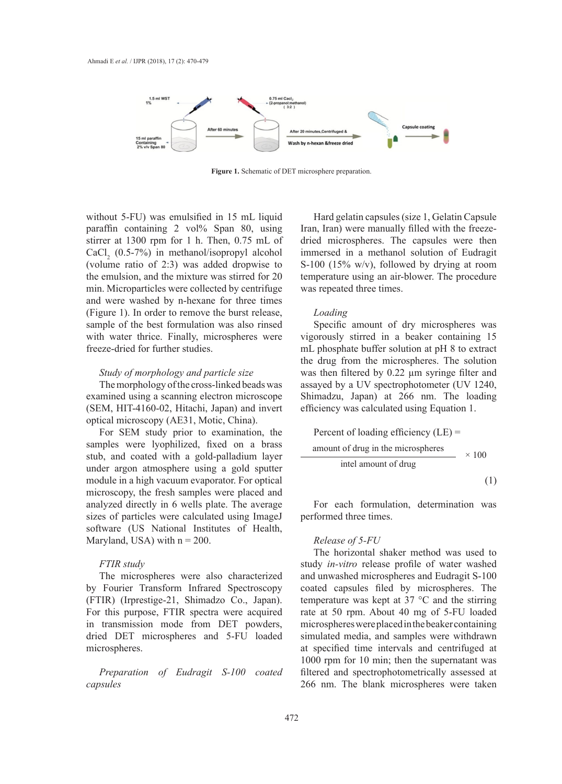

**Figure 1.** Schematic of DET microsphere preparation.

without 5-FU) was emulsified in 15 mL liquid paraffin containing 2 vol<sup>%</sup> Span 80, using stirrer at 1300 rpm for 1 h. Then, 0.75 mL of  $CaCl<sub>2</sub>$  (0.5-7%) in methanol/isopropyl alcohol (volume ratio of 2:3) was added dropwise to the emulsion, and the mixture was stirred for 20 min. Microparticles were collected by centrifuge and were washed by n-hexane for three times (Figure 1). In order to remove the burst release, sample of the best formulation was also rinsed with water thrice. Finally, microspheres were freeze-dried for further studies.

The morphology of the cross-linked beads was examined using a scanning electron microscope Shimadzu, Japan) at 266 nm. The loading (SEM, HIT-4160-02, Hitachi, Japan) and invert optical microscopy (AE31, Motic, China).

For SEM study prior to examination, the samples were lyophilized, fixed on a brass stub, and coated with a gold-palladium layer under argon atmosphere using a gold sputter module in a high vacuum evaporator. For optical microscopy, the fresh samples were placed and analyzed directly in 6 wells plate. The average sizes of particles were calculated using ImageJ software (US National Institutes of Health, Maryland, USA) with  $n = 200$ .

# *FTIR study*

The microspheres were also characterized by Fourier Transform Infrared Spectroscopy (FTIR) (Irprestige-21, Shimadzo Co., Japan). For this purpose, FTIR spectra were acquired in transmission mode from DET powders, dried DET microspheres and 5-FU loaded microspheres.

*Preparation of Eudragit S-100 coated capsules*

Hard gelatin capsules (size 1, Gelatin Capsule Iran, Iran) were manually filled with the freezedried microspheres. The capsules were then immersed in a methanol solution of Eudragit S-100 (15% w/v), followed by drying at room temperature using an air-blower. The procedure was repeated three times.

# *Loading*

Study of morphology and particle size was then filtered by 0.22  $\mu$ m syringer Specific amount of dry microspheres was vigorously stirred in a beaker containing 15 The must buffer solution at pH 8 to extract the cross-linked beam in the cross-linked beam in the cross-linked beam in the crossthe drug from the microspheres. The solution was then filtered by 0.22  $\mu$ m syringe filter and assayed by a UV spectrophotometer (UV 1240, Shimadzu, Japan) at 266 nm. The loading efficiency was calculated using Equation 1.

Percent of loading efficiency (LE) = amount of drug in the microspheres × 100 intel amount of drug (1)

For each formulation, determination was performed three times.

# *Release of 5-FU*

The horizontal shaker method was used to study *in-vitro* release profile of water washed and unwashed microspheres and Eudragit S-100 coated capsules filed by microspheres. The temperature was kept at 37 °C and the stirring rate at 50 rpm. About 40 mg of 5-FU loaded microspheres were placed in the beaker containing simulated media, and samples were withdrawn at specified time intervals and centrifuged at 1000 rpm for 10 min; then the supernatant was filtered and spectrophotometrically assessed at 266 nm. The blank microspheres were taken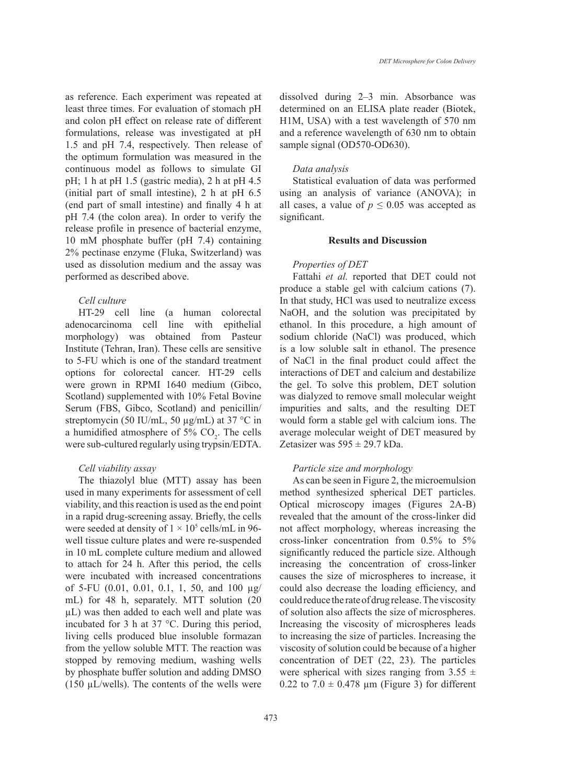as reference. Each experiment was repeated at least three times. For evaluation of stomach pH and colon pH effect on release rate of different formulations, release was investigated at pH 1.5 and pH 7.4, respectively. Then release of the optimum formulation was measured in the continuous model as follows to simulate GI pH; 1 h at pH 1.5 (gastric media), 2 h at pH 4.5 (initial part of small intestine), 2 h at pH 6.5 (end part of small intestine) and finally 4 h at pH 7.4 (the colon area). In order to verify the release profile in presence of bacterial enzyme, 10 mM phosphate buffer (pH 7.4) containing 2% pectinase enzyme (Fluka, Switzerland) was used as dissolution medium and the assay was performed as described above.

# *Cell culture*

HT-29 cell line (a human colorectal adenocarcinoma cell line with epithelial morphology) was obtained from Pasteur Institute (Tehran, Iran). These cells are sensitive to 5-FU which is one of the standard treatment options for colorectal cancer. HT-29 cells were grown in RPMI 1640 medium (Gibco, Scotland) supplemented with 10% Fetal Bovine Serum (FBS, Gibco, Scotland) and penicillin/ streptomycin (50 IU/mL, 50 µg/mL) at 37 °C in a humidified atmosphere of  $5\%$  CO<sub>2</sub>. The cells were sub-cultured regularly using trypsin/EDTA.

# *Cell viability assay*

The thiazolyl blue (MTT) assay has been used in many experiments for assessment of cell viability, and this reaction is used as the end point in a rapid drug-screening assay. Briefly, the cells were seeded at density of  $1 \times 10^5$  cells/mL in 96well tissue culture plates and were re-suspended in 10 mL complete culture medium and allowed to attach for 24 h. After this period, the cells were incubated with increased concentrations of 5-FU (0.01, 0.01, 0.1, 1, 50, and 100 µg/ mL) for 48 h, separately. MTT solution (20 µL) was then added to each well and plate was incubated for 3 h at 37 °C. During this period, living cells produced blue insoluble formazan from the yellow soluble MTT. The reaction was stopped by removing medium, washing wells by phosphate buffer solution and adding DMSO (150  $\mu$ L/wells). The contents of the wells were dissolved during 2–3 min. Absorbance was determined on an ELISA plate reader (Biotek, H1M, USA) with a test wavelength of 570 nm and a reference wavelength of 630 nm to obtain sample signal (OD570-OD630).

#### *Data analysis*

Statistical evaluation of data was performed using an analysis of variance (ANOVA); in all cases, a value of  $p \le 0.05$  was accepted as significant.

# **Results and Discussion**

# *Properties of DET*

Fattahi *et al.* reported that DET could not produce a stable gel with calcium cations (7). In that study, HCl was used to neutralize excess NaOH, and the solution was precipitated by ethanol. In this procedure, a high amount of sodium chloride (NaCl) was produced, which is a low soluble salt in ethanol. The presence of NaCl in the final product could affect the interactions of DET and calcium and destabilize the gel. To solve this problem, DET solution was dialyzed to remove small molecular weight impurities and salts, and the resulting DET would form a stable gel with calcium ions. The average molecular weight of DET measured by Zetasizer was  $595 \pm 29.7$  kDa.

# *Particle size and morphology*

As can be seen in Figure 2, the microemulsion method synthesized spherical DET particles. Optical microscopy images (Figures 2A-B) revealed that the amount of the cross-linker did not affect morphology, whereas increasing the cross-linker concentration from 0.5% to 5% significantly reduced the particle size. Although increasing the concentration of cross-linker causes the size of microspheres to increase, it could also decrease the loading efficiency, and could reduce the rate of drug release. The viscosity of solution also affects the size of microspheres. Increasing the viscosity of microspheres leads to increasing the size of particles. Increasing the viscosity of solution could be because of a higher concentration of DET (22, 23). The particles were spherical with sizes ranging from  $3.55 \pm$ 0.22 to  $7.0 \pm 0.478$  µm (Figure 3) for different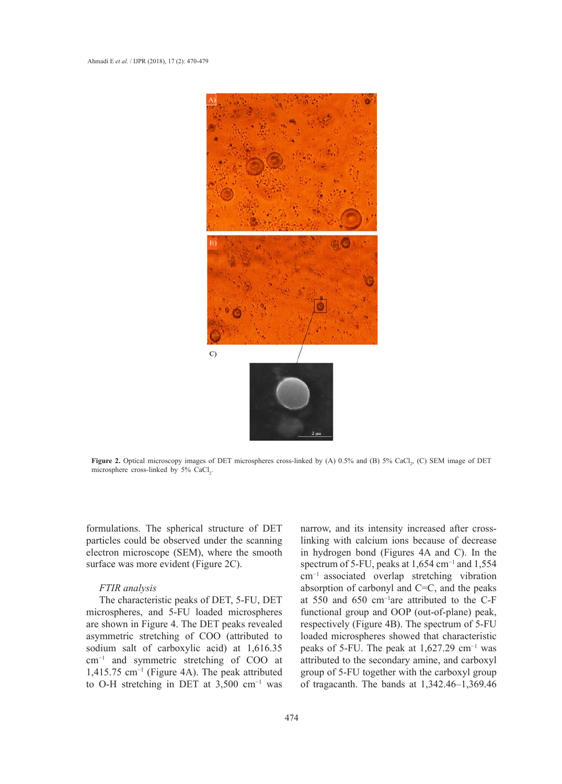

Figure 2. Optical microscopy images of DET microspheres cross-linked by (A) 0.5% and (B) 5% CaCl<sub>2</sub>, (C) SEM image of DET microsphere cross-linked by  $5\%$  CaCl<sub>2</sub>. of DET microsphere cross-linked by 5% CaCl2.

formulations. The spherical structure of DET particles could be observed under the scanning electron microscope (SEM), where the smooth surface was more evident (Figure 2C).

#### *FTIR analysis*

The characteristic peaks of DET, 5-FU, DET microspheres, and 5-FU loaded microspheres are shown in Figure 4. The DET peaks revealed asymmetric stretching of COO (attributed to sodium salt of carboxylic acid) at 1,616.35 cm−1 and symmetric stretching of COO at 1,415.75 cm−1 (Figure 4A). The peak attributed to O-H stretching in DET at 3,500 cm−1 was narrow, and its intensity increased after crosslinking with calcium ions because of decrease in hydrogen bond (Figures 4A and C). In the spectrum of 5-FU, peaks at 1,654 cm<sup>-1</sup> and 1,554 cm−1 associated overlap stretching vibration absorption of carbonyl and C=C, and the peaks at 550 and 650 cm−1are attributed to the C-F functional group and OOP (out-of-plane) peak, respectively (Figure 4B). The spectrum of 5-FU loaded microspheres showed that characteristic peaks of 5-FU. The peak at  $1,627.29$  cm<sup>-1</sup> was attributed to the secondary amine, and carboxyl group of 5-FU together with the carboxyl group of tragacanth. The bands at 1,342.46–1,369.46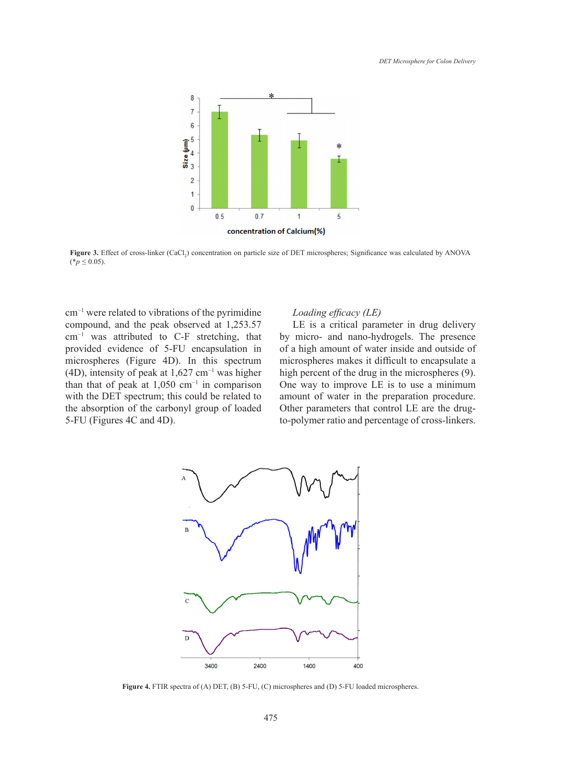

Figure 3. Effect of cross-linker (CaCl<sub>2</sub>) concentration on particle size of DET microspheres; Significance was calculated by ANOVA  $(*p \le 0.05).$ 

 $\text{cm}^{-1}$  were related to vibrations of the pyrimidine *Loading efficacy (LE)* compound, and the peak observed at 1,253.57 LE is a critical parameter in dru cm−1 was attributed to C-F stretching, that provided evidence of 5-FU encapsulation in microspheres (Figure 4D). In this spectrum micros (4D), intensity of peak at 1,627 cm−1 was higher than that of peak at  $1,050$  cm<sup>-1</sup> in comparison with the DET spectrum; this could be related to the absorption of the carbonyl group of loaded absorption of carbonyl and C=C, and the peaks at 550 and 650 cm<sup>−</sup><sup>1</sup> 5-FU (Figures 4C and 4D). functional group and OOP (out-of-plane) peak, respectively (Figure 4B). The spectrum of 5-FU

# *Loading efficacy (LE)*

LE is a critical parameter in drug delivery by micro- and nano-hydrogels. The presence  $\frac{1}{2}$ , and  $\frac{1}{2}$  interval and nation in symplection in of a high amount of water inside and outside of microspheres makes it difficult to encapsulate a high percent of the drug in the microspheres (9).  $\frac{\text{Sigma}}{\text{C}}$  cak at 1,050 cm<sup>-1</sup> in comparison One way to improve LE is to use a minimum to amount of water in the preparation procedure. Other parameters that control LE are the drugto-polymer ratio and percentage of cross-linkers.



Figure 4. FTIR spectra of (A) DET, (B) 5-FU, (C) microspheres and (D) 5-FU loaded microspheres.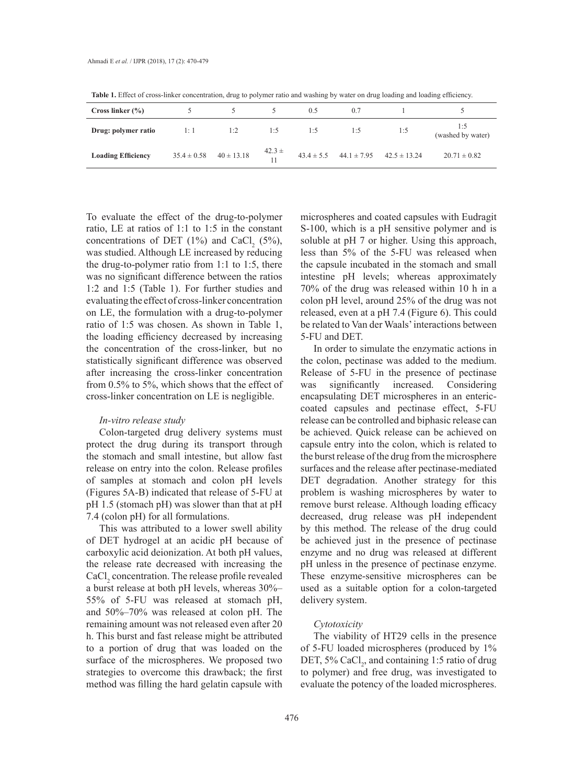|                           | ______                         |     | $\sim$        |     | $\overline{\phantom{0}}$ |                                                 |                          |
|---------------------------|--------------------------------|-----|---------------|-----|--------------------------|-------------------------------------------------|--------------------------|
| Cross linker $(\% )$      |                                |     |               | 0.5 | 0.7                      |                                                 |                          |
| Drug: polymer ratio       | 1: 1                           | 1:2 | 1:5           | 1:5 | 1:5                      | 1:5                                             | 1:5<br>(washed by water) |
| <b>Loading Efficiency</b> | $35.4 \pm 0.58$ $40 \pm 13.18$ |     | $42.3 \pm 11$ |     |                          | $43.4 \pm 5.5$ $44.1 \pm 7.95$ $42.5 \pm 13.24$ | $20.71 \pm 0.82$         |

**Table 1.** Effect of cross-linker concentration, drug to polymer ratio and washing by water on drug loading and loading efficiency.

To evaluate the effect of the drug-to-polymer ratio, LE at ratios of 1:1 to 1:5 in the constant concentrations of DET  $(1\%)$  and CaCl<sub>2</sub> (5%), was studied. Although LE increased by reducing the drug-to-polymer ratio from 1:1 to 1:5, there was no significant difference between the ratios 1:2 and 1:5 (Table 1). For further studies and evaluating the effect of cross-linker concentration on LE, the formulation with a drug-to-polymer ratio of 1:5 was chosen. As shown in Table 1, the loading efficiency decreased by increasing the concentration of the cross-linker, but no statistically significant difference was observed after increasing the cross-linker concentration from 0.5% to 5%, which shows that the effect of cross-linker concentration on LE is negligible.

# *In-vitro release study*

Colon-targeted drug delivery systems must protect the drug during its transport through the stomach and small intestine, but allow fast release on entry into the colon. Release profiles of samples at stomach and colon pH levels (Figures 5A-B) indicated that release of 5-FU at pH 1.5 (stomach pH) was slower than that at pH 7.4 (colon pH) for all formulations.

This was attributed to a lower swell ability of DET hydrogel at an acidic pH because of carboxylic acid deionization. At both pH values, the release rate decreased with increasing the CaCl<sub>2</sub> concentration. The release profile revealed a burst release at both pH levels, whereas 30%– 55% of 5-FU was released at stomach pH, and 50%–70% was released at colon pH. The remaining amount was not released even after 20 h. This burst and fast release might be attributed to a portion of drug that was loaded on the surface of the microspheres. We proposed two strategies to overcome this drawback; the first method was filling the hard gelatin capsule with

microspheres and coated capsules with Eudragit S-100, which is a pH sensitive polymer and is soluble at pH 7 or higher. Using this approach, less than 5% of the 5-FU was released when the capsule incubated in the stomach and small intestine pH levels; whereas approximately 70% of the drug was released within 10 h in a colon pH level, around 25% of the drug was not released, even at a pH 7.4 (Figure 6). This could be related to Van der Waals' interactions between 5-FU and DET.

In order to simulate the enzymatic actions in the colon, pectinase was added to the medium. Release of 5-FU in the presence of pectinase was significantly increased. Considering encapsulating DET microspheres in an entericcoated capsules and pectinase effect, 5-FU release can be controlled and biphasic release can be achieved. Quick release can be achieved on capsule entry into the colon, which is related to the burst release of the drug from the microsphere surfaces and the release after pectinase-mediated DET degradation. Another strategy for this problem is washing microspheres by water to remove burst release. Although loading efficacy decreased, drug release was pH independent by this method. The release of the drug could be achieved just in the presence of pectinase enzyme and no drug was released at different pH unless in the presence of pectinase enzyme. These enzyme-sensitive microspheres can be used as a suitable option for a colon-targeted delivery system.

#### *Cytotoxicity*

The viability of HT29 cells in the presence of 5-FU loaded microspheres (produced by 1% DET, 5% CaCl<sub>2</sub>, and containing 1:5 ratio of drug to polymer) and free drug, was investigated to evaluate the potency of the loaded microspheres.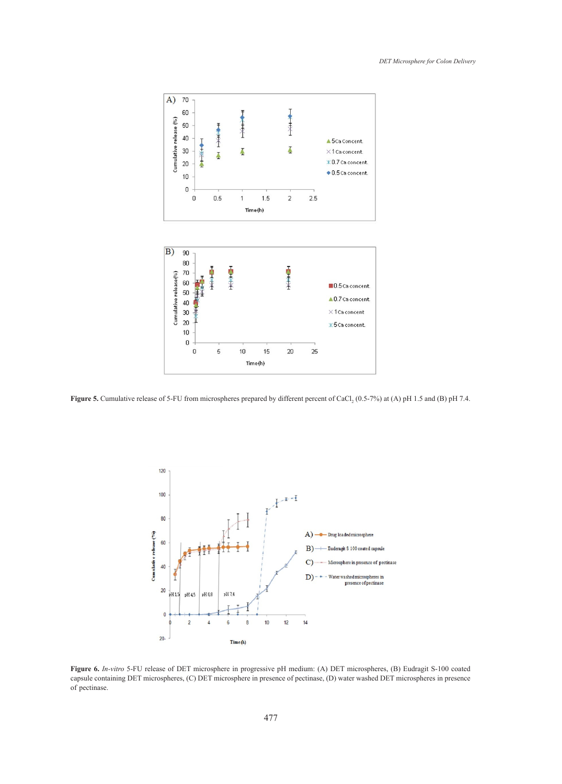

**Figure 5.** Cumulative release of 5-FU from microspheres prepared by different percent of CaCl<sub>2</sub> (0.5-7%) at (A) pH 1.5 and (B) pH 7.4.



**Figure 6.** *In-vitro* 5-FU release of DET microsphere in progressive pH medium: (A) DET microspheres, (B) Eudragit S-100 coated capsule containing DET microspheres, (C) DET microsphere in presence of pectinase, (D) water washed DET microspheres in presence of pectinase. **Figure 6.** *In-vitro* 5-FU release of DET microsphere in progressive pH medium: (A) DET microspheres, (B) Eudragit S-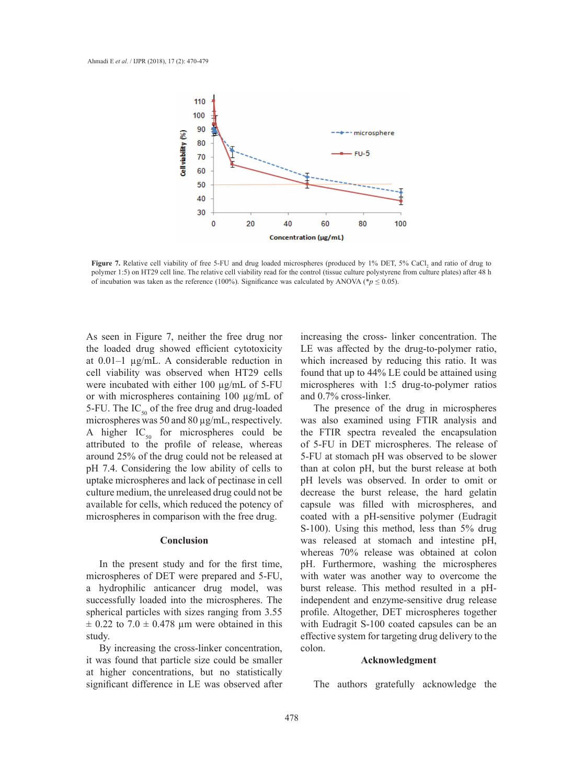

**Figure 7.** Relative cell viability of free 5-FU and drug loaded microspheres (produced by 1% DET, 5% CaCl<sub>2</sub> and ratio of drug to polymer 1:5) on HT29 cell line. The relative cell viability read for the control (tissue culture polystyrene from culture plates) after 48 h of incubation was taken as the reference (100%). Significance was calculated by ANOVA (\* $p \le 0.05$ ).

As seen in Figure 7, neither the free drug nor the loaded drug showed efficient cytotoxicity at 0.01–1 µg/mL. A considerable reduction in cell viability was observed when HT29 cells were incubated with either 100 µg/mL of 5-FU or with microspheres containing 100 µg/mL of 5-FU. The  $IC_{50}$  of the free drug and drug-loaded microspheres was 50 and 80 µg/mL, respectively. A higher  $IC_{50}$  for microspheres could be attributed to the profile of release, whereas around 25% of the drug could not be released at pH 7.4. Considering the low ability of cells to uptake microspheres and lack of pectinase in cell culture medium, the unreleased drug could not be available for cells, which reduced the potency of microspheres in comparison with the free drug.

#### **Conclusion**

In the present study and for the first time, microspheres of DET were prepared and 5-FU, a hydrophilic anticancer drug model, was successfully loaded into the microspheres. The spherical particles with sizes ranging from 3.55  $\pm$  0.22 to 7.0  $\pm$  0.478 µm were obtained in this study.

By increasing the cross-linker concentration, it was found that particle size could be smaller at higher concentrations, but no statistically significant difference in LE was observed after increasing the cross- linker concentration. The LE was affected by the drug-to-polymer ratio, which increased by reducing this ratio. It was found that up to 44% LE could be attained using microspheres with 1:5 drug-to-polymer ratios and 0.7% cross-linker.

The presence of the drug in microspheres was also examined using FTIR analysis and the FTIR spectra revealed the encapsulation of 5-FU in DET microspheres. The release of 5-FU at stomach pH was observed to be slower than at colon pH, but the burst release at both pH levels was observed. In order to omit or decrease the burst release, the hard gelatin capsule was filled with microspheres, and coated with a pH-sensitive polymer (Eudragit S-100). Using this method, less than 5% drug was released at stomach and intestine pH, whereas 70% release was obtained at colon pH. Furthermore, washing the microspheres with water was another way to overcome the burst release. This method resulted in a pHindependent and enzyme-sensitive drug release profile. Altogether, DET microspheres together with Eudragit S-100 coated capsules can be an effective system for targeting drug delivery to the colon.

# **Acknowledgment**

The authors gratefully acknowledge the